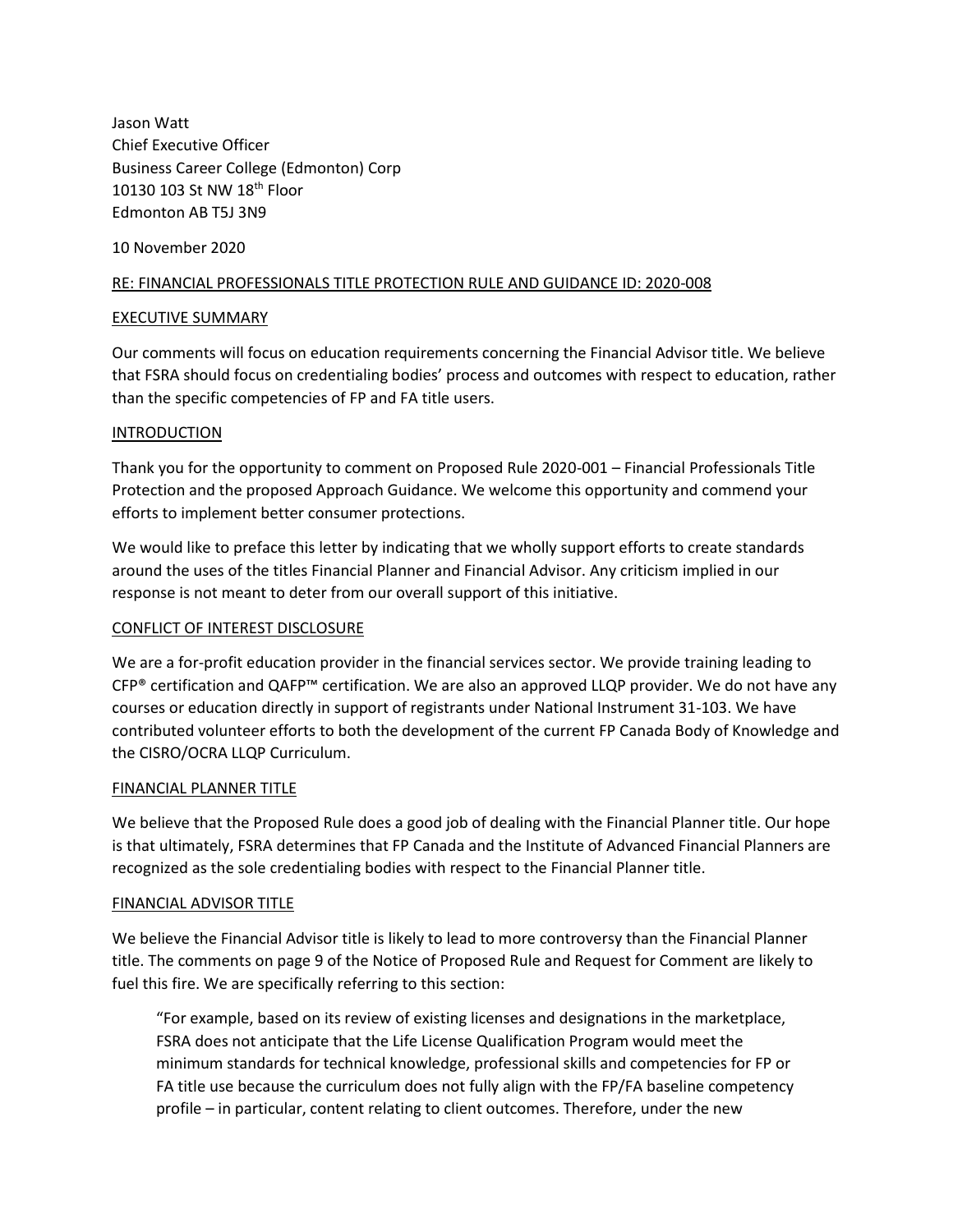Jason Watt Chief Executive Officer Business Career College (Edmonton) Corp 10130 103 St NW 18<sup>th</sup> Floor Edmonton AB T5J 3N9

10 November 2020

### RE: FINANCIAL PROFESSIONALS TITLE PROTECTION RULE AND GUIDANCE ID: 2020-008

#### EXECUTIVE SUMMARY

Our comments will focus on education requirements concerning the Financial Advisor title. We believe that FSRA should focus on credentialing bodies' process and outcomes with respect to education, rather than the specific competencies of FP and FA title users.

#### **INTRODUCTION**

Thank you for the opportunity to comment on Proposed Rule 2020-001 – Financial Professionals Title Protection and the proposed Approach Guidance. We welcome this opportunity and commend your efforts to implement better consumer protections.

We would like to preface this letter by indicating that we wholly support efforts to create standards around the uses of the titles Financial Planner and Financial Advisor. Any criticism implied in our response is not meant to deter from our overall support of this initiative.

## CONFLICT OF INTEREST DISCLOSURE

We are a for-profit education provider in the financial services sector. We provide training leading to  $CFP<sup>®</sup>$  certification and QAFP<sup>™</sup> certification. We are also an approved LLQP provider. We do not have any courses or education directly in support of registrants under National Instrument 31-103. We have contributed volunteer efforts to both the development of the current FP Canada Body of Knowledge and the CISRO/OCRA LLQP Curriculum.

#### FINANCIAL PLANNER TITLE

We believe that the Proposed Rule does a good job of dealing with the Financial Planner title. Our hope is that ultimately, FSRA determines that FP Canada and the Institute of Advanced Financial Planners are recognized as the sole credentialing bodies with respect to the Financial Planner title.

#### FINANCIAL ADVISOR TITLE

We believe the Financial Advisor title is likely to lead to more controversy than the Financial Planner title. The comments on page 9 of the Notice of Proposed Rule and Request for Comment are likely to fuel this fire. We are specifically referring to this section:

"For example, based on its review of existing licenses and designations in the marketplace, FSRA does not anticipate that the Life License Qualification Program would meet the minimum standards for technical knowledge, professional skills and competencies for FP or FA title use because the curriculum does not fully align with the FP/FA baseline competency profile – in particular, content relating to client outcomes. Therefore, under the new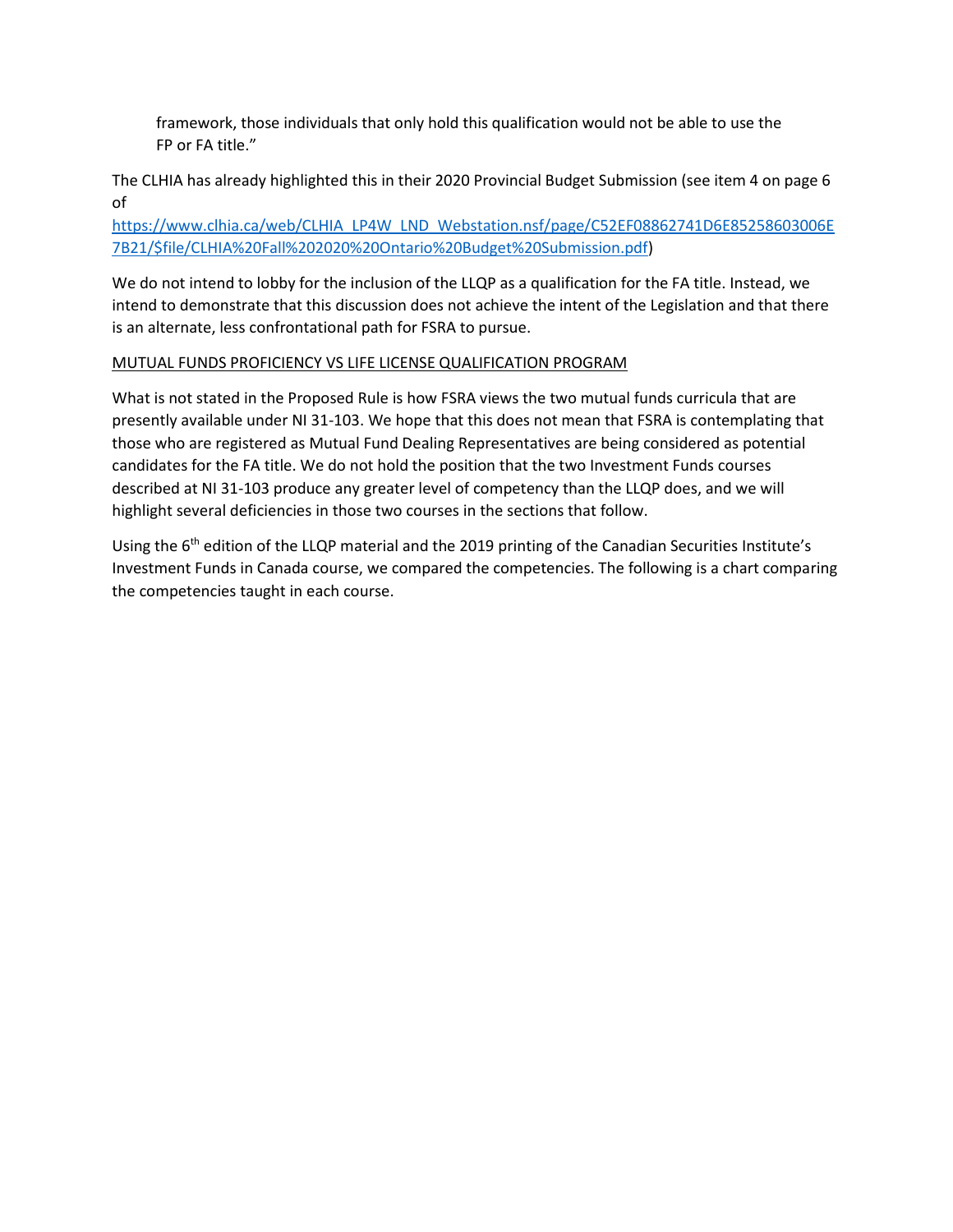framework, those individuals that only hold this qualification would not be able to use the FP or FA title."

The CLHIA has already highlighted this in their 2020 Provincial Budget Submission (see item 4 on page 6 of

[https://www.clhia.ca/web/CLHIA\\_LP4W\\_LND\\_Webstation.nsf/page/C52EF08862741D6E85258603006E](https://www.clhia.ca/web/CLHIA_LP4W_LND_Webstation.nsf/page/C52EF08862741D6E85258603006E7B21/$file/CLHIA%20Fall%202020%20Ontario%20Budget%20Submission.pdf) [7B21/\\$file/CLHIA%20Fall%202020%20Ontario%20Budget%20Submission.pdf\)](https://www.clhia.ca/web/CLHIA_LP4W_LND_Webstation.nsf/page/C52EF08862741D6E85258603006E7B21/$file/CLHIA%20Fall%202020%20Ontario%20Budget%20Submission.pdf)

We do not intend to lobby for the inclusion of the LLQP as a qualification for the FA title. Instead, we intend to demonstrate that this discussion does not achieve the intent of the Legislation and that there is an alternate, less confrontational path for FSRA to pursue.

# MUTUAL FUNDS PROFICIENCY VS LIFE LICENSE QUALIFICATION PROGRAM

What is not stated in the Proposed Rule is how FSRA views the two mutual funds curricula that are presently available under NI 31-103. We hope that this does not mean that FSRA is contemplating that those who are registered as Mutual Fund Dealing Representatives are being considered as potential candidates for the FA title. We do not hold the position that the two Investment Funds courses described at NI 31-103 produce any greater level of competency than the LLQP does, and we will highlight several deficiencies in those two courses in the sections that follow.

Using the 6<sup>th</sup> edition of the LLQP material and the 2019 printing of the Canadian Securities Institute's Investment Funds in Canada course, we compared the competencies. The following is a chart comparing the competencies taught in each course.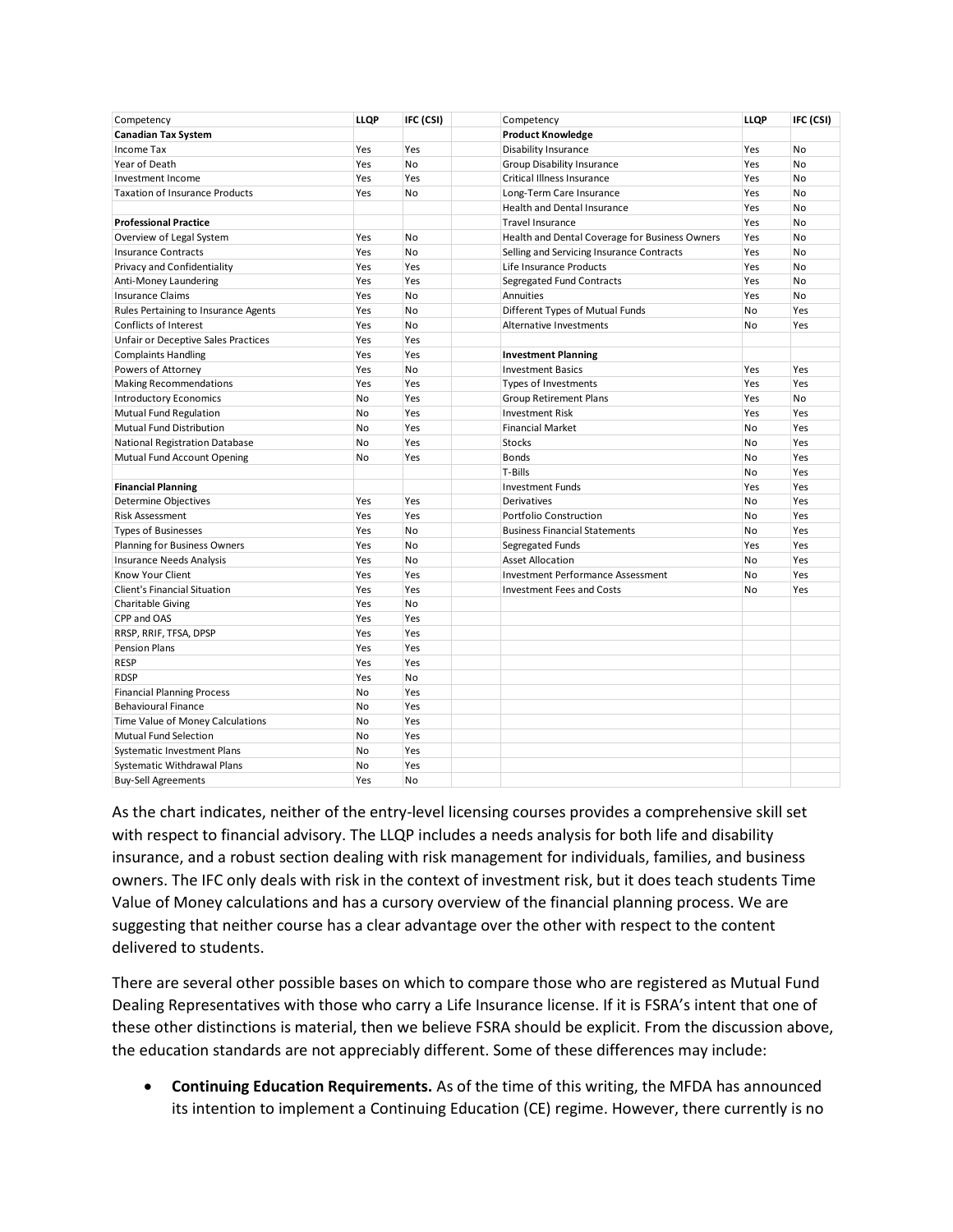| Competency                                      | LLQP      | IFC (CSI) | Competency                                       | <b>LLQP</b> | IFC (CSI) |
|-------------------------------------------------|-----------|-----------|--------------------------------------------------|-------------|-----------|
| <b>Canadian Tax System</b><br><b>Income Tax</b> | Yes       | Yes       | <b>Product Knowledge</b><br>Disability Insurance | Yes         | No        |
| Year of Death                                   | Yes       | <b>No</b> | Group Disability Insurance                       | Yes         | <b>No</b> |
| Investment Income                               | Yes       | Yes       | Critical Illness Insurance                       | Yes         | No        |
|                                                 | Yes       | <b>No</b> | Long-Term Care Insurance                         | Yes         | No        |
| <b>Taxation of Insurance Products</b>           |           |           | Health and Dental Insurance                      | Yes         | No        |
| <b>Professional Practice</b>                    |           |           | <b>Travel Insurance</b>                          | Yes         | No        |
| Overview of Legal System                        | Yes       | No        | Health and Dental Coverage for Business Owners   | Yes         | No        |
| <b>Insurance Contracts</b>                      | Yes       | <b>No</b> | Selling and Servicing Insurance Contracts        | Yes         | No        |
| Privacy and Confidentiality                     | Yes       | Yes       | Life Insurance Products                          | Yes         | No        |
| Anti-Money Laundering                           | Yes       | Yes       | Segregated Fund Contracts                        | Yes         | No        |
| <b>Insurance Claims</b>                         | Yes       | No        | Annuities                                        | Yes         | No        |
| Rules Pertaining to Insurance Agents            | Yes       | No        | Different Types of Mutual Funds                  | <b>No</b>   | Yes       |
| <b>Conflicts of Interest</b>                    | Yes       | No        | <b>Alternative Investments</b>                   | No          | Yes       |
| Unfair or Deceptive Sales Practices             | Yes       | Yes       |                                                  |             |           |
| <b>Complaints Handling</b>                      | Yes       | Yes       | <b>Investment Planning</b>                       |             |           |
| Powers of Attorney                              | Yes       | No        | <b>Investment Basics</b>                         | Yes         | Yes       |
| <b>Making Recommendations</b>                   | Yes       | Yes       | <b>Types of Investments</b>                      | Yes         | Yes       |
| <b>Introductory Economics</b>                   | <b>No</b> | Yes       | <b>Group Retirement Plans</b>                    | Yes         | No        |
| <b>Mutual Fund Regulation</b>                   | No        | Yes       | <b>Investment Risk</b>                           | Yes         | Yes       |
| Mutual Fund Distribution                        | No        | Yes       | <b>Financial Market</b>                          | No          | Yes       |
| <b>National Registration Database</b>           | No        | Yes       | <b>Stocks</b>                                    | No          | Yes       |
| Mutual Fund Account Opening                     | No        | Yes       | <b>Bonds</b>                                     | No          | Yes       |
|                                                 |           |           | T-Bills                                          | No          | Yes       |
| <b>Financial Planning</b>                       |           |           | <b>Investment Funds</b>                          | Yes         | Yes       |
| <b>Determine Objectives</b>                     | Yes       | Yes       | <b>Derivatives</b>                               | No          | Yes       |
| <b>Risk Assessment</b>                          | Yes       | Yes       | Portfolio Construction                           | No          | Yes       |
| <b>Types of Businesses</b>                      | Yes       | <b>No</b> | <b>Business Financial Statements</b>             | No          | Yes       |
| Planning for Business Owners                    | Yes       | No        | Segregated Funds                                 | Yes         | Yes       |
| <b>Insurance Needs Analysis</b>                 | Yes       | No        | <b>Asset Allocation</b>                          | No          | Yes       |
| <b>Know Your Client</b>                         | Yes       | Yes       | <b>Investment Performance Assessment</b>         | No          | Yes       |
| <b>Client's Financial Situation</b>             | Yes       | Yes       | <b>Investment Fees and Costs</b>                 | No          | Yes       |
| <b>Charitable Giving</b>                        | Yes       | <b>No</b> |                                                  |             |           |
| CPP and OAS                                     | Yes       | Yes       |                                                  |             |           |
| RRSP, RRIF, TFSA, DPSP                          | Yes       | Yes       |                                                  |             |           |
| <b>Pension Plans</b>                            | Yes       | Yes       |                                                  |             |           |
| <b>RESP</b>                                     | Yes       | Yes       |                                                  |             |           |
| <b>RDSP</b>                                     | Yes       | <b>No</b> |                                                  |             |           |
| <b>Financial Planning Process</b>               | No        | Yes       |                                                  |             |           |
| <b>Behavioural Finance</b>                      | No        | Yes       |                                                  |             |           |
| Time Value of Money Calculations                | No        | Yes       |                                                  |             |           |
| <b>Mutual Fund Selection</b>                    | No        | Yes       |                                                  |             |           |
| <b>Systematic Investment Plans</b>              | No        | Yes       |                                                  |             |           |
| Systematic Withdrawal Plans                     | No        | Yes       |                                                  |             |           |
| <b>Buy-Sell Agreements</b>                      | Yes       | <b>No</b> |                                                  |             |           |

As the chart indicates, neither of the entry-level licensing courses provides a comprehensive skill set with respect to financial advisory. The LLQP includes a needs analysis for both life and disability insurance, and a robust section dealing with risk management for individuals, families, and business owners. The IFC only deals with risk in the context of investment risk, but it does teach students Time Value of Money calculations and has a cursory overview of the financial planning process. We are suggesting that neither course has a clear advantage over the other with respect to the content delivered to students.

There are several other possible bases on which to compare those who are registered as Mutual Fund Dealing Representatives with those who carry a Life Insurance license. If it is FSRA's intent that one of these other distinctions is material, then we believe FSRA should be explicit. From the discussion above, the education standards are not appreciably different. Some of these differences may include:

• **Continuing Education Requirements.** As of the time of this writing, the MFDA has announced its intention to implement a Continuing Education (CE) regime. However, there currently is no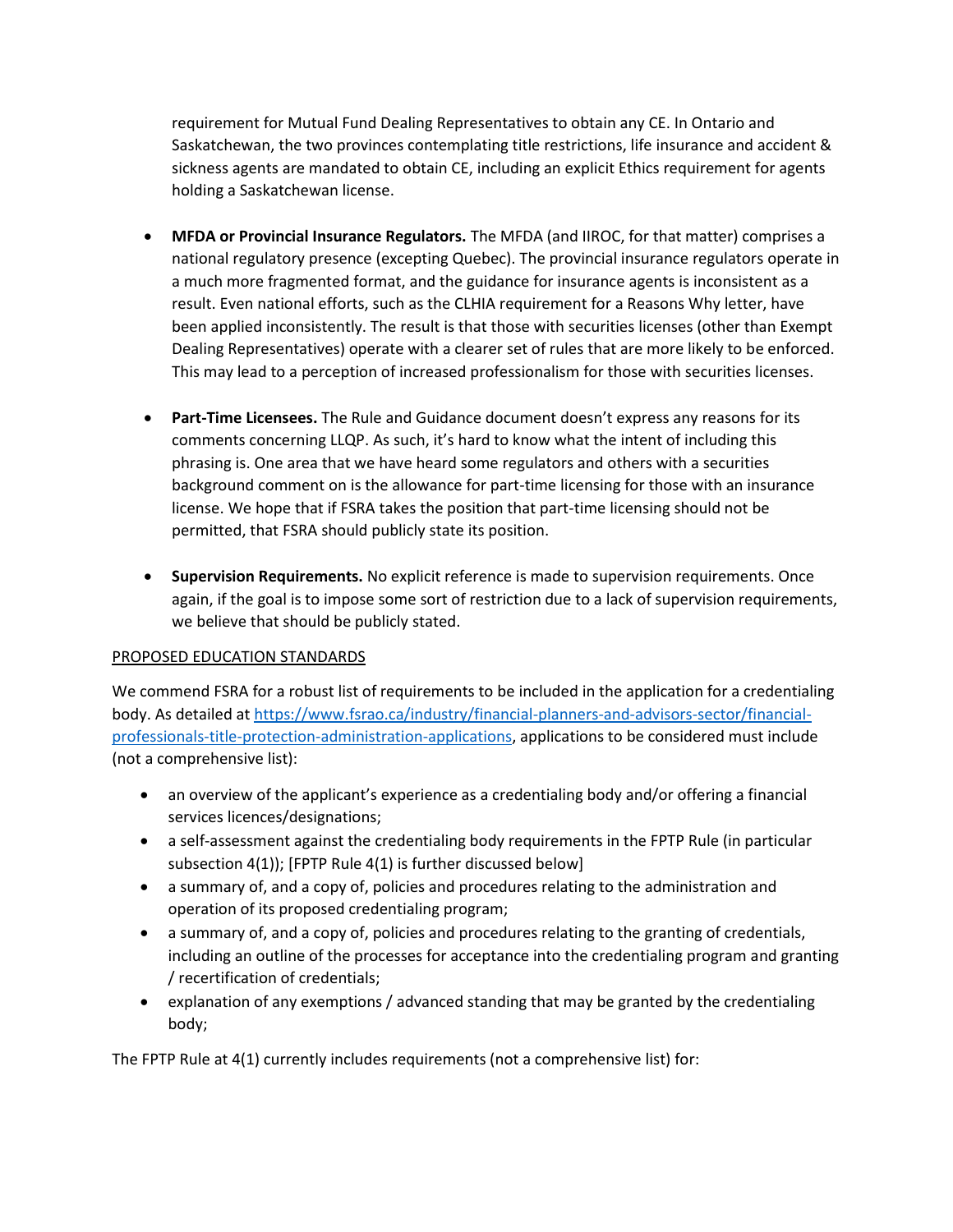requirement for Mutual Fund Dealing Representatives to obtain any CE. In Ontario and Saskatchewan, the two provinces contemplating title restrictions, life insurance and accident & sickness agents are mandated to obtain CE, including an explicit Ethics requirement for agents holding a Saskatchewan license.

- **MFDA or Provincial Insurance Regulators.** The MFDA (and IIROC, for that matter) comprises a national regulatory presence (excepting Quebec). The provincial insurance regulators operate in a much more fragmented format, and the guidance for insurance agents is inconsistent as a result. Even national efforts, such as the CLHIA requirement for a Reasons Why letter, have been applied inconsistently. The result is that those with securities licenses (other than Exempt Dealing Representatives) operate with a clearer set of rules that are more likely to be enforced. This may lead to a perception of increased professionalism for those with securities licenses.
- **Part-Time Licensees.** The Rule and Guidance document doesn't express any reasons for its comments concerning LLQP. As such, it's hard to know what the intent of including this phrasing is. One area that we have heard some regulators and others with a securities background comment on is the allowance for part-time licensing for those with an insurance license. We hope that if FSRA takes the position that part-time licensing should not be permitted, that FSRA should publicly state its position.
- **Supervision Requirements.** No explicit reference is made to supervision requirements. Once again, if the goal is to impose some sort of restriction due to a lack of supervision requirements, we believe that should be publicly stated.

# PROPOSED EDUCATION STANDARDS

We commend FSRA for a robust list of requirements to be included in the application for a credentialing body. As detailed at [https://www.fsrao.ca/industry/financial-planners-and-advisors-sector/financial](https://www.fsrao.ca/industry/financial-planners-and-advisors-sector/financial-professionals-title-protection-administration-applications)[professionals-title-protection-administration-applications,](https://www.fsrao.ca/industry/financial-planners-and-advisors-sector/financial-professionals-title-protection-administration-applications) applications to be considered must include (not a comprehensive list):

- an overview of the applicant's experience as a credentialing body and/or offering a financial services licences/designations;
- a self-assessment against the credentialing body requirements in the FPTP Rule (in particular subsection 4(1)); [FPTP Rule 4(1) is further discussed below]
- a summary of, and a copy of, policies and procedures relating to the administration and operation of its proposed credentialing program;
- a summary of, and a copy of, policies and procedures relating to the granting of credentials, including an outline of the processes for acceptance into the credentialing program and granting / recertification of credentials;
- explanation of any exemptions / advanced standing that may be granted by the credentialing body;

The FPTP Rule at 4(1) currently includes requirements (not a comprehensive list) for: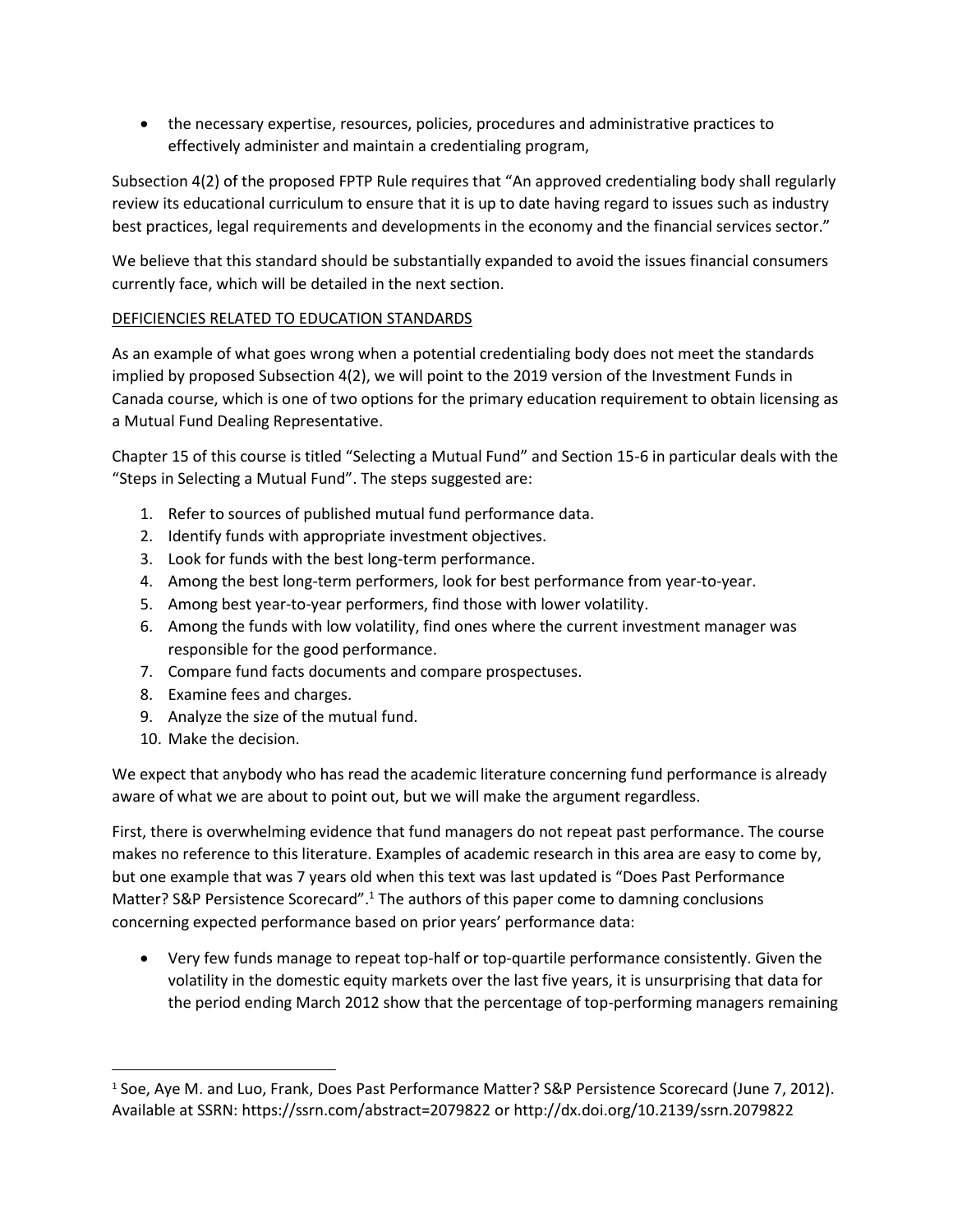• the necessary expertise, resources, policies, procedures and administrative practices to effectively administer and maintain a credentialing program,

Subsection 4(2) of the proposed FPTP Rule requires that "An approved credentialing body shall regularly review its educational curriculum to ensure that it is up to date having regard to issues such as industry best practices, legal requirements and developments in the economy and the financial services sector."

We believe that this standard should be substantially expanded to avoid the issues financial consumers currently face, which will be detailed in the next section.

# DEFICIENCIES RELATED TO EDUCATION STANDARDS

As an example of what goes wrong when a potential credentialing body does not meet the standards implied by proposed Subsection 4(2), we will point to the 2019 version of the Investment Funds in Canada course, which is one of two options for the primary education requirement to obtain licensing as a Mutual Fund Dealing Representative.

Chapter 15 of this course is titled "Selecting a Mutual Fund" and Section 15-6 in particular deals with the "Steps in Selecting a Mutual Fund". The steps suggested are:

- 1. Refer to sources of published mutual fund performance data.
- 2. Identify funds with appropriate investment objectives.
- 3. Look for funds with the best long-term performance.
- 4. Among the best long-term performers, look for best performance from year-to-year.
- 5. Among best year-to-year performers, find those with lower volatility.
- 6. Among the funds with low volatility, find ones where the current investment manager was responsible for the good performance.
- 7. Compare fund facts documents and compare prospectuses.
- 8. Examine fees and charges.
- 9. Analyze the size of the mutual fund.
- 10. Make the decision.

We expect that anybody who has read the academic literature concerning fund performance is already aware of what we are about to point out, but we will make the argument regardless.

First, there is overwhelming evidence that fund managers do not repeat past performance. The course makes no reference to this literature. Examples of academic research in this area are easy to come by, but one example that was 7 years old when this text was last updated is "Does Past Performance Matter? S&P Persistence Scorecard".<sup>1</sup> The authors of this paper come to damning conclusions concerning expected performance based on prior years' performance data:

• Very few funds manage to repeat top-half or top-quartile performance consistently. Given the volatility in the domestic equity markets over the last five years, it is unsurprising that data for the period ending March 2012 show that the percentage of top-performing managers remaining

<sup>1</sup> Soe, Aye M. and Luo, Frank, Does Past Performance Matter? S&P Persistence Scorecard (June 7, 2012). Available at SSRN: <https://ssrn.com/abstract=2079822> or [http://dx.doi.org/10.2139/ssrn.2079822](https://dx.doi.org/10.2139/ssrn.2079822)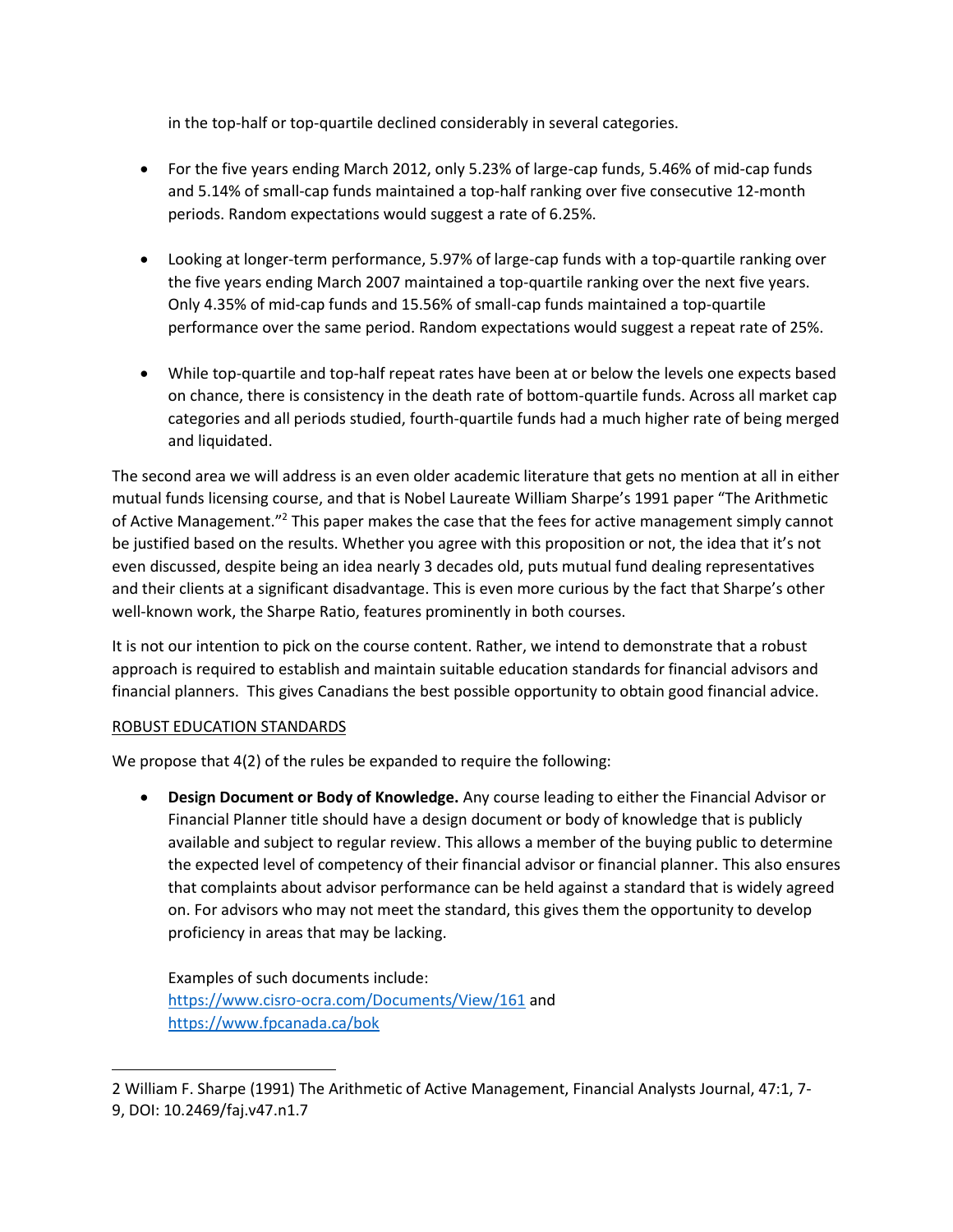in the top-half or top-quartile declined considerably in several categories.

- For the five years ending March 2012, only 5.23% of large-cap funds, 5.46% of mid-cap funds and 5.14% of small-cap funds maintained a top-half ranking over five consecutive 12-month periods. Random expectations would suggest a rate of 6.25%.
- Looking at longer-term performance, 5.97% of large-cap funds with a top-quartile ranking over the five years ending March 2007 maintained a top-quartile ranking over the next five years. Only 4.35% of mid-cap funds and 15.56% of small-cap funds maintained a top-quartile performance over the same period. Random expectations would suggest a repeat rate of 25%.
- While top-quartile and top-half repeat rates have been at or below the levels one expects based on chance, there is consistency in the death rate of bottom-quartile funds. Across all market cap categories and all periods studied, fourth-quartile funds had a much higher rate of being merged and liquidated.

The second area we will address is an even older academic literature that gets no mention at all in either mutual funds licensing course, and that is Nobel Laureate William Sharpe's 1991 paper "The Arithmetic of Active Management."<sup>2</sup> This paper makes the case that the fees for active management simply cannot be justified based on the results. Whether you agree with this proposition or not, the idea that it's not even discussed, despite being an idea nearly 3 decades old, puts mutual fund dealing representatives and their clients at a significant disadvantage. This is even more curious by the fact that Sharpe's other well-known work, the Sharpe Ratio, features prominently in both courses.

It is not our intention to pick on the course content. Rather, we intend to demonstrate that a robust approach is required to establish and maintain suitable education standards for financial advisors and financial planners. This gives Canadians the best possible opportunity to obtain good financial advice.

## ROBUST EDUCATION STANDARDS

We propose that 4(2) of the rules be expanded to require the following:

• **Design Document or Body of Knowledge.** Any course leading to either the Financial Advisor or Financial Planner title should have a design document or body of knowledge that is publicly available and subject to regular review. This allows a member of the buying public to determine the expected level of competency of their financial advisor or financial planner. This also ensures that complaints about advisor performance can be held against a standard that is widely agreed on. For advisors who may not meet the standard, this gives them the opportunity to develop proficiency in areas that may be lacking.

Examples of such documents include: <https://www.cisro-ocra.com/Documents/View/161> and <https://www.fpcanada.ca/bok>

<sup>2</sup> William F. Sharpe (1991) The Arithmetic of Active Management, Financial Analysts Journal, 47:1, 7- 9, DOI: [10.2469/faj.v47.n1.7](https://doi.org/10.2469/faj.v47.n1.7)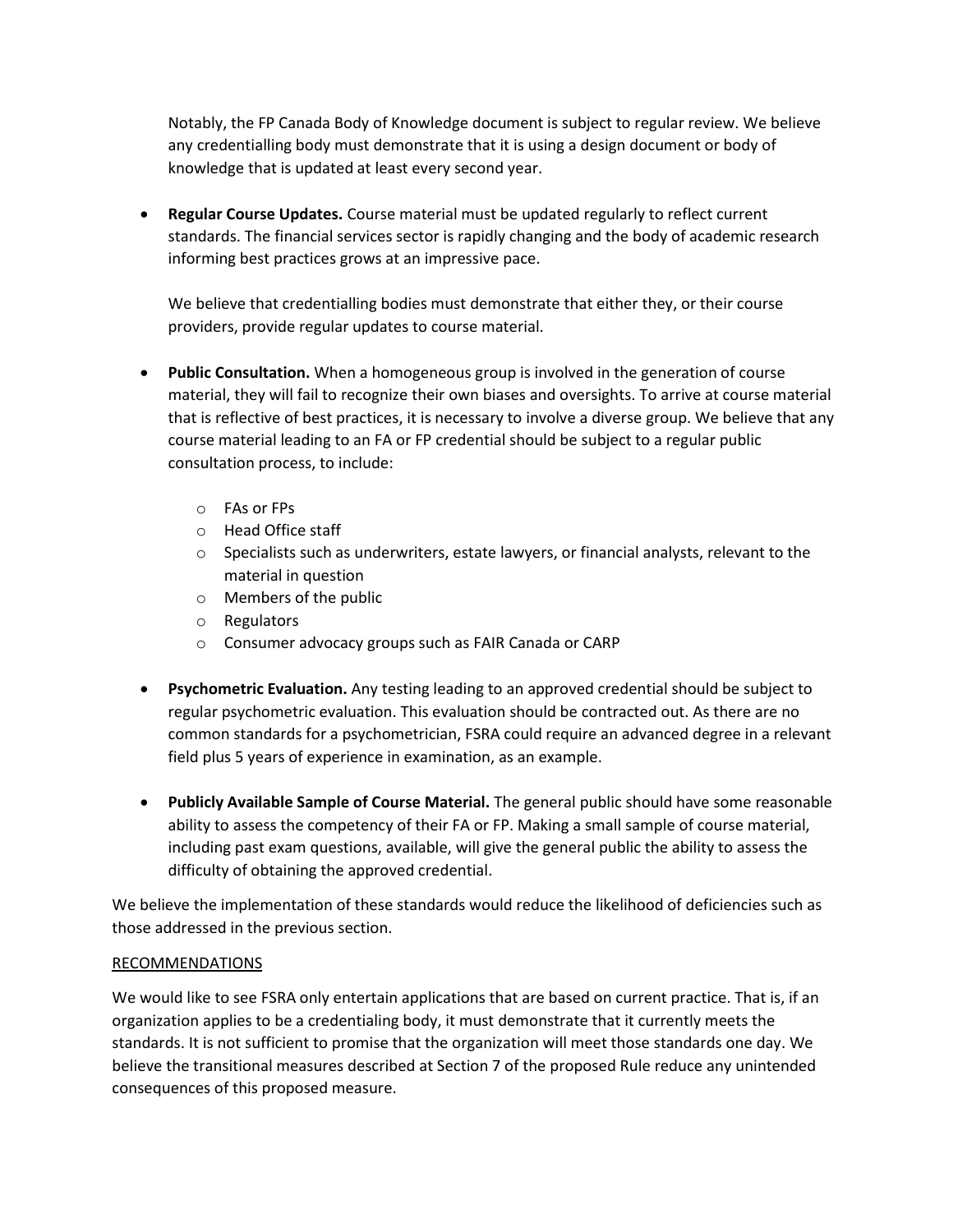Notably, the FP Canada Body of Knowledge document is subject to regular review. We believe any credentialling body must demonstrate that it is using a design document or body of knowledge that is updated at least every second year.

• **Regular Course Updates.** Course material must be updated regularly to reflect current standards. The financial services sector is rapidly changing and the body of academic research informing best practices grows at an impressive pace.

We believe that credentialling bodies must demonstrate that either they, or their course providers, provide regular updates to course material.

- **Public Consultation.** When a homogeneous group is involved in the generation of course material, they will fail to recognize their own biases and oversights. To arrive at course material that is reflective of best practices, it is necessary to involve a diverse group. We believe that any course material leading to an FA or FP credential should be subject to a regular public consultation process, to include:
	- o FAs or FPs
	- o Head Office staff
	- o Specialists such as underwriters, estate lawyers, or financial analysts, relevant to the material in question
	- o Members of the public
	- o Regulators
	- o Consumer advocacy groups such as FAIR Canada or CARP
- **Psychometric Evaluation.** Any testing leading to an approved credential should be subject to regular psychometric evaluation. This evaluation should be contracted out. As there are no common standards for a psychometrician, FSRA could require an advanced degree in a relevant field plus 5 years of experience in examination, as an example.
- **Publicly Available Sample of Course Material.** The general public should have some reasonable ability to assess the competency of their FA or FP. Making a small sample of course material, including past exam questions, available, will give the general public the ability to assess the difficulty of obtaining the approved credential.

We believe the implementation of these standards would reduce the likelihood of deficiencies such as those addressed in the previous section.

# RECOMMENDATIONS

We would like to see FSRA only entertain applications that are based on current practice. That is, if an organization applies to be a credentialing body, it must demonstrate that it currently meets the standards. It is not sufficient to promise that the organization will meet those standards one day. We believe the transitional measures described at Section 7 of the proposed Rule reduce any unintended consequences of this proposed measure.